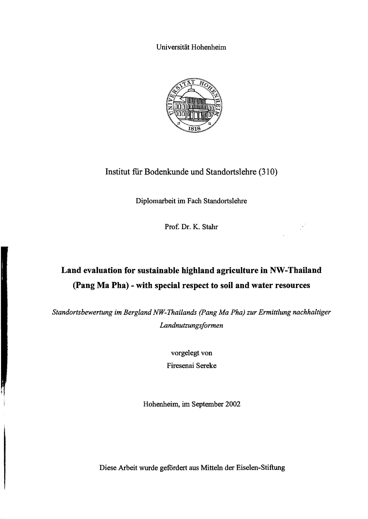Universität Hohenheim



## Institut für Bodenkunde und Standortslehre (310)

Diplomarbeit im Fach Standortslehre

Prof. Dr. K. Stahr

ţ.

# **Land evaluation for sustainable highland agriculture in NW-Thailand (pang Ma Pha) - with special respect to soil and water resources**

*Standortsbewertung im Bergland NW-Thailands (Pang Ma Pha) zur Ermittlung nachhaltiger* Landnutzungsformen

> vorgelegt von Firesenai Sereke

Hohenheim, im September 2002

Diese Arbeit wurde gefördert aus Mitteln der Eiselen-Stiftung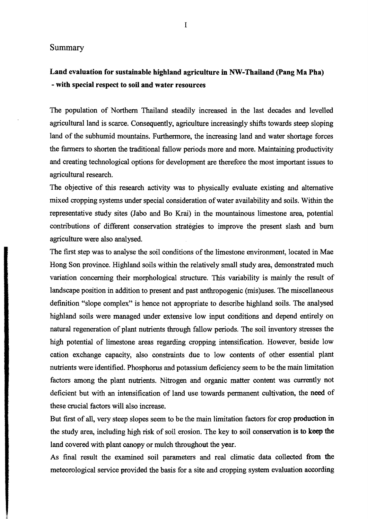#### Summary

## Land evaluation for sustainable highland agriculture in NW-Thailand (Pang Ma Pha) - with special respect to soll and water resources

The population of Northern Thailand steadily increased in the last decades and levelled agricultural land is scarce. Consequently, agriculture increasingly shifts towards steep sloping land of the subhumid mountains. Furthermore, the increasing land and water shortage forces the farmers to shorten the traditional fallow periods more and more. Maintaining productivity and creating technological options for development are therefore the most important issues to agricultural research.

The objective of this research activity was to physically evaluate existing and alternative mixed cropping systems under special consideration of water availability and soils. Within the representative study sites (Jabo and Bo Krai) in the mountainous limestone area, potential contributions of different conservation strategies to improve the present slash and burn agriculture were also analysed.

The first step was to analyse the soil conditions of the limestone environment, located in Mae Hong Son province. Highland soils within the relatively small study area, demonstrated much variation concerning their morphological structure. This variability is mainly the result of landscape position in addition to present and past anthropogenie (mis)uses. The miscellaneous definition "slope complex" is hence not appropriate to describe highland soils. The analysed highland soils were managed under extensive low input conditions and depend entirely on natural regeneration of plant nutrients through fallow periods. The soil inventory stresses the high potential of limestone areas regarding cropping intensification. However, beside low cation exchange capacity, also constraints due to low contents of other essential plant nutrients were identified. Phosphorus and potassium deficiency seem to be the main limitation factors among the plant nutrients. Nitrogen and organie matter content was currently not deficient but with an intensification of land use towards pennanent cultivation, the need of these crucial factors will also increase.

But first of all, very steep slopes seem to be the main limitation factors for crop production in the study area, including high risk of soil erosion. The key to soil conservation is to keep the land covered with plant canopy or mulch throughout the year.

As final result the examined soil parameters and real climatic data collected from the meteorological service provided the basis for a site and cropping system evaluation according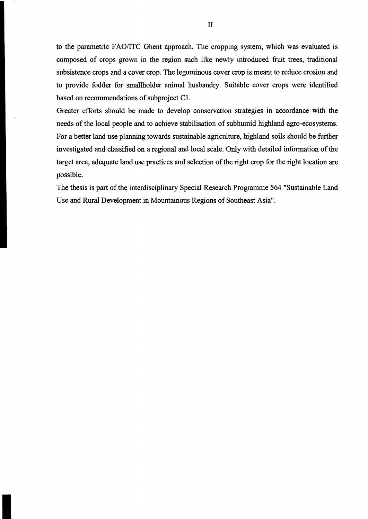to the parametric FAO/ITC Ohent approach. The cropping system, which was evaluated is composed of crops grown in the region such like newly introduced fruit trees, traditional subsistence crops and a cover crop. The leguminous cover crop is meant to reduce erosion and to provide fodder for smallholder animal husbandry. Suitable cover crops were identified based on recommendations of subproject C1.

Greater efforts should be made to develop conservation strategies in accordance with the needs of the local people and to achieve stabilisation of subhumid highland agro-ecosystems. For a better land use planning towards sustainable agriculture, highland soils should be further investigated and classified on a regional and local scale. Only with detailed information of the target area, adequate land use practices and selection of the right crop for the right location are possible.

The thesis is part of the interdisciplinary Special Research Programme 564 "Sustainable Land Use and Rural Development in Mountainous Regions of Southeast Asia".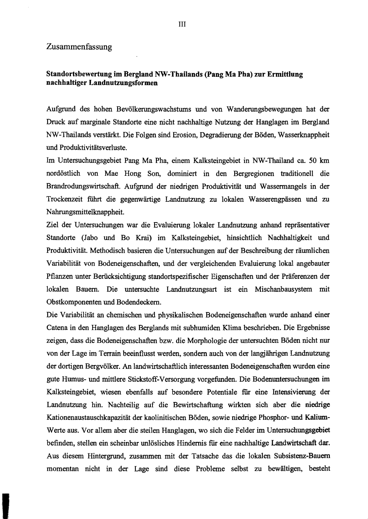### Zusammenfassung

#### Standorts bewertung im Bergland NW-Thailands (pang Ma Pha) zur Ermittlung nachhaltiger Landnutzungsformen

Aufgrund des hohen Bevölkerungswachstwns und von Wanderungsbewegungen hat der Druck auf marginale Standorte eine nicht nachhaltige Nutzung der Hanglagen im Bergland NW-Thailands verstärkt. Die Folgen sind Erosion, Degradierung der Böden, Wasserknappheit und Produktivitätsverluste.

Im Untersuchungsgebiet Pang Ma Pha, einem Kalksteingebiet in NW-Thailand ca. 50 km nordöstlich von Mae Hong Son, dominiert in den Bergregionen traditionell die Brandrodungswirtschaft. Aufgrund der niedrigen Produktivität und Wassennangels in der Trockenzeit führt die gegenwärtige Landnutzung zu lokalen Wasserengpässen und zu Nahrungsmittelknappheit.

Ziel der Untersuchungen war die Evaluierung lokaler Landnutzung anband repräsentativer Standorte (Jabo und Bo Krai) im Kalksteingebiet, hinsichtlich Nachhaltigkeit und Produktivität. Methodisch basieren die Untersuchungen auf der Beschreibung der rämnlichen Variabilität von Bodeneigenschaften, und der vergleichenden Evaluierung lokal angebauter Pflanzen unter Berücksichtigung standortspezifischer Eigenschaften und der Präferenzen der lokalen Bauern. Die untersuchte Landnutzungsart ist ein Mischanbausystem mit Obstkomponenten und Bodendeckem.

Die Variabilität an chemischen und physikalischen Bodeneigenschaften wurde anband einer Catena in den Hanglagen des Berglands mit subhmniden Klima beschrieben. Die Ergebnisse zeigen, dass die Bodeneigenschaften bzw. die Morphologie der untersuchten Böden nicht nur von der Lage im Terrain beeinflusst werden, sondern auch von der langjährigen Landnutzung der dortigen Bergvölker. An landwirtschaftlich interessanten Bodeneigenschaften wurden eine gute Hmnus- und mittlere Stickstoff-Versorgung vorgefunden. Die Bodenuntersuchungen im Kalksteingebiet, wiesen ebenfalls auf besondere Potentiale fiir eine Intensivierung der Landnutzung hin. Nachteilig auf die Bewirtschaftung wirkten sich aber die niedrige Kationenaustauschkapazität der kaolinitischen Böden, sowie niedrige Phosphor- und Kalium-Werte aus. Vor allem aber die steilen Hanglagen, wo sich die Felder im Untersuchungsgebiet befinden, stellen ein scheinbar unlösliches Hindernis fiir eine nachhaltige Landwirtschaft dar. Aus diesem Hintergrund, zusammen mit der Tatsache das die lokalen Subsistenz-Bauern momentan nicht in der Lage sind diese Probleme selbst zu bewältigen, besteht